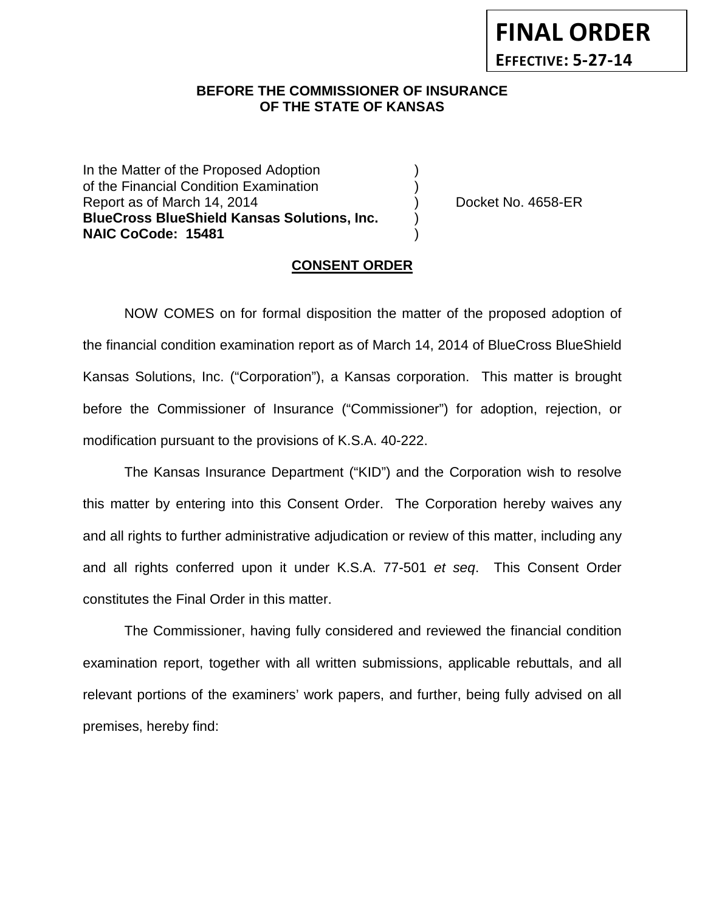## **BEFORE THE COMMISSIONER OF INSURANCE OF THE STATE OF KANSAS**

In the Matter of the Proposed Adoption of the Financial Condition Examination ) Report as of March 14, 2014 (a) Cocket No. 4658-ER **BlueCross BlueShield Kansas Solutions, Inc.** ) **NAIC CoCode: 15481** )

#### **CONSENT ORDER**

NOW COMES on for formal disposition the matter of the proposed adoption of the financial condition examination report as of March 14, 2014 of BlueCross BlueShield Kansas Solutions, Inc. ("Corporation"), a Kansas corporation. This matter is brought before the Commissioner of Insurance ("Commissioner") for adoption, rejection, or modification pursuant to the provisions of K.S.A. 40-222.

The Kansas Insurance Department ("KID") and the Corporation wish to resolve this matter by entering into this Consent Order. The Corporation hereby waives any and all rights to further administrative adjudication or review of this matter, including any and all rights conferred upon it under K.S.A. 77-501 *et seq*. This Consent Order constitutes the Final Order in this matter.

The Commissioner, having fully considered and reviewed the financial condition examination report, together with all written submissions, applicable rebuttals, and all relevant portions of the examiners' work papers, and further, being fully advised on all premises, hereby find: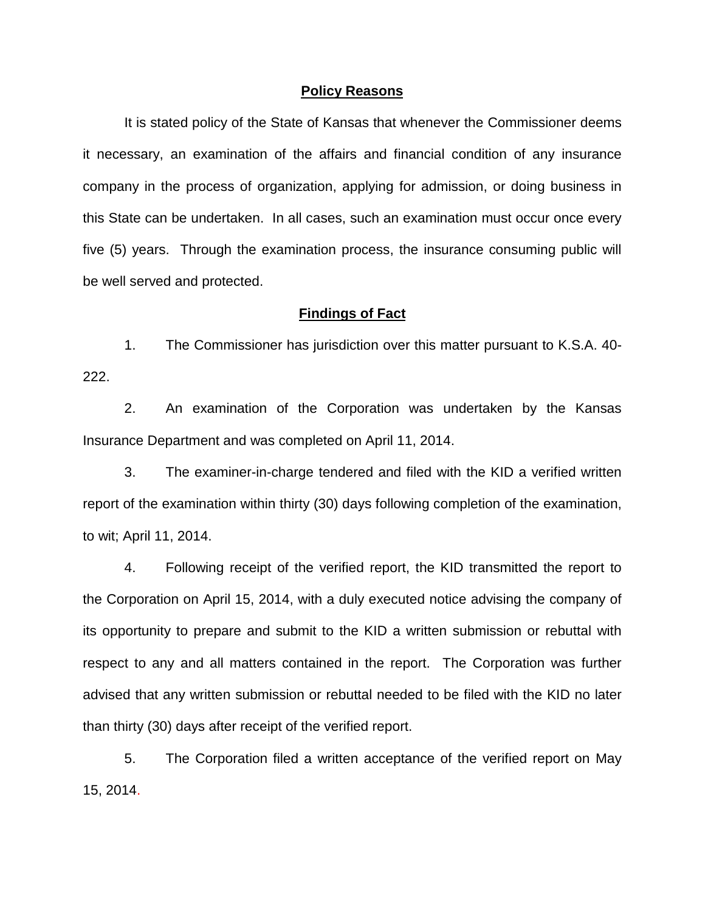#### **Policy Reasons**

It is stated policy of the State of Kansas that whenever the Commissioner deems it necessary, an examination of the affairs and financial condition of any insurance company in the process of organization, applying for admission, or doing business in this State can be undertaken. In all cases, such an examination must occur once every five (5) years. Through the examination process, the insurance consuming public will be well served and protected.

#### **Findings of Fact**

1. The Commissioner has jurisdiction over this matter pursuant to K.S.A. 40- 222.

2. An examination of the Corporation was undertaken by the Kansas Insurance Department and was completed on April 11, 2014.

3. The examiner-in-charge tendered and filed with the KID a verified written report of the examination within thirty (30) days following completion of the examination, to wit; April 11, 2014.

4. Following receipt of the verified report, the KID transmitted the report to the Corporation on April 15, 2014, with a duly executed notice advising the company of its opportunity to prepare and submit to the KID a written submission or rebuttal with respect to any and all matters contained in the report. The Corporation was further advised that any written submission or rebuttal needed to be filed with the KID no later than thirty (30) days after receipt of the verified report.

5. The Corporation filed a written acceptance of the verified report on May 15, 2014.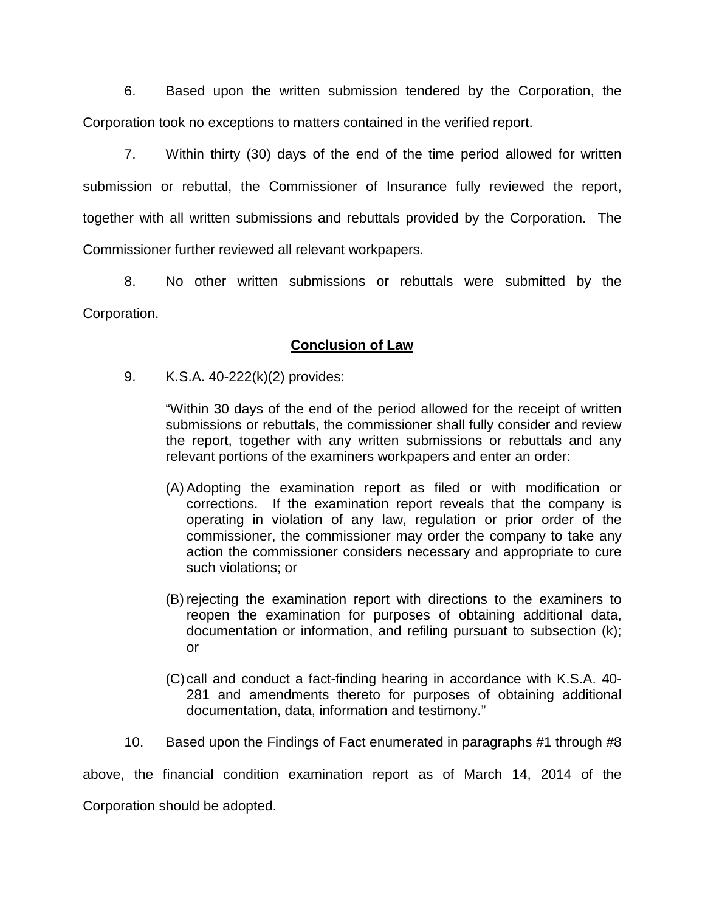6. Based upon the written submission tendered by the Corporation, the Corporation took no exceptions to matters contained in the verified report.

7. Within thirty (30) days of the end of the time period allowed for written submission or rebuttal, the Commissioner of Insurance fully reviewed the report, together with all written submissions and rebuttals provided by the Corporation. The Commissioner further reviewed all relevant workpapers.

8. No other written submissions or rebuttals were submitted by the Corporation.

## **Conclusion of Law**

9. K.S.A. 40-222(k)(2) provides:

"Within 30 days of the end of the period allowed for the receipt of written submissions or rebuttals, the commissioner shall fully consider and review the report, together with any written submissions or rebuttals and any relevant portions of the examiners workpapers and enter an order:

- (A) Adopting the examination report as filed or with modification or corrections. If the examination report reveals that the company is operating in violation of any law, regulation or prior order of the commissioner, the commissioner may order the company to take any action the commissioner considers necessary and appropriate to cure such violations; or
- (B) rejecting the examination report with directions to the examiners to reopen the examination for purposes of obtaining additional data, documentation or information, and refiling pursuant to subsection (k); or
- (C)call and conduct a fact-finding hearing in accordance with K.S.A. 40- 281 and amendments thereto for purposes of obtaining additional documentation, data, information and testimony."
- 10. Based upon the Findings of Fact enumerated in paragraphs #1 through #8

above, the financial condition examination report as of March 14, 2014 of the

Corporation should be adopted.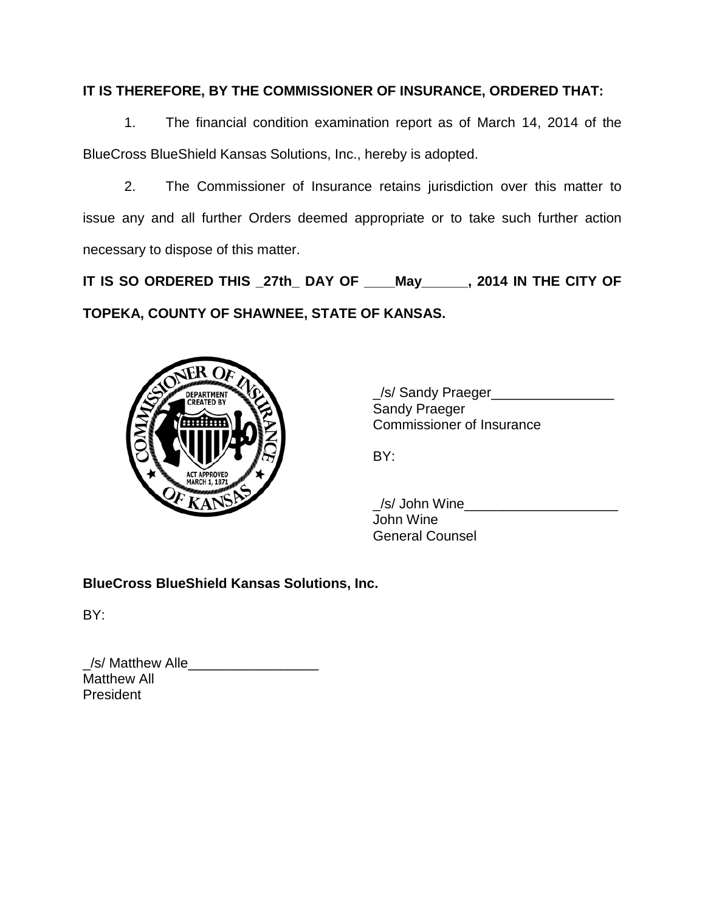# **IT IS THEREFORE, BY THE COMMISSIONER OF INSURANCE, ORDERED THAT:**

1. The financial condition examination report as of March 14, 2014 of the BlueCross BlueShield Kansas Solutions, Inc., hereby is adopted.

2. The Commissioner of Insurance retains jurisdiction over this matter to issue any and all further Orders deemed appropriate or to take such further action necessary to dispose of this matter.

**IT IS SO ORDERED THIS \_27th\_ DAY OF \_\_\_\_May\_\_\_\_\_\_, 2014 IN THE CITY OF TOPEKA, COUNTY OF SHAWNEE, STATE OF KANSAS.**



\_/s/ Sandy Praeger\_\_\_\_\_\_\_\_\_\_\_\_\_\_\_\_ Sandy Praeger Commissioner of Insurance

BY:

\_/s/ John Wine\_\_\_\_\_\_\_\_\_\_\_\_\_\_\_\_\_\_\_\_ John Wine General Counsel

**BlueCross BlueShield Kansas Solutions, Inc.**

BY:

| /s/ Matthew Alle   |  |
|--------------------|--|
| <b>Matthew All</b> |  |
| <b>President</b>   |  |